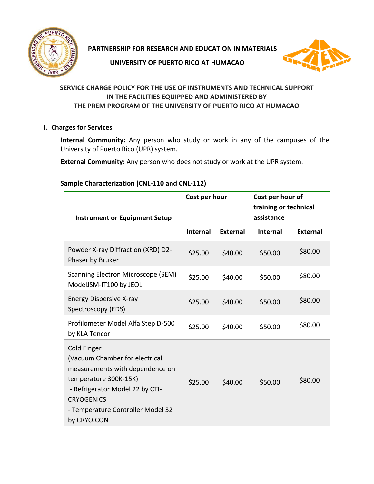

**PARTNERSHIP FOR RESEARCH AND EDUCATION IN MATERIALS**

**UNIVERSITY OF PUERTO RICO AT HUMACAO**



## **SERVICE CHARGE POLICY FOR THE USE OF INSTRUMENTS AND TECHNICAL SUPPORT IN THE FACILITIES EQUIPPED AND ADMINISTERED BY THE PREM PROGRAM OF THE UNIVERSITY OF PUERTO RICO AT HUMACAO**

### **I. Charges for Services**

**Internal Community:** Any person who study or work in any of the campuses of the University of Puerto Rico (UPR) system.

**External Community:** Any person who does not study or work at the UPR system.

### **Sample Characterization (CNL-110 and CNL-112)**

| <b>Instrument or Equipment Setup</b>                                                                                                                                                                                  | Cost per hour   |                 | Cost per hour of<br>training or technical<br>assistance |                 |
|-----------------------------------------------------------------------------------------------------------------------------------------------------------------------------------------------------------------------|-----------------|-----------------|---------------------------------------------------------|-----------------|
|                                                                                                                                                                                                                       | <b>Internal</b> | <b>External</b> | <b>Internal</b>                                         | <b>External</b> |
| Powder X-ray Diffraction (XRD) D2-<br>Phaser by Bruker                                                                                                                                                                | \$25.00         | \$40.00         | \$50.00                                                 | \$80.00         |
| Scanning Electron Microscope (SEM)<br>ModelJSM-IT100 by JEOL                                                                                                                                                          | \$25.00         | \$40.00         | \$50.00                                                 | \$80.00         |
| <b>Energy Dispersive X-ray</b><br>Spectroscopy (EDS)                                                                                                                                                                  | \$25.00         | \$40.00         | \$50.00                                                 | \$80.00         |
| Profilometer Model Alfa Step D-500<br>by KLA Tencor                                                                                                                                                                   | \$25.00         | \$40.00         | \$50.00                                                 | \$80.00         |
| Cold Finger<br>(Vacuum Chamber for electrical<br>measurements with dependence on<br>temperature 300K-15K)<br>- Refrigerator Model 22 by CTI-<br><b>CRYOGENICS</b><br>- Temperature Controller Model 32<br>by CRYO.CON | \$25.00         | \$40.00         | \$50.00                                                 | \$80.00         |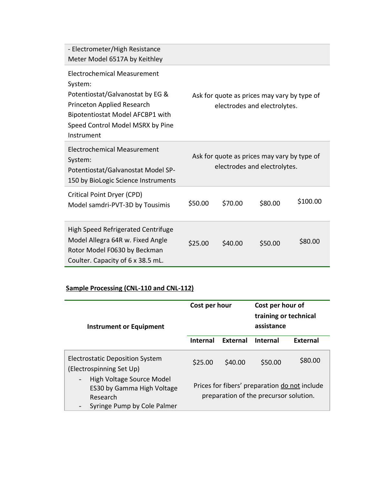| - Electrometer/High Resistance<br>Meter Model 6517A by Keithley                                                                                                                                |                                                                             |         |                                                                             |          |
|------------------------------------------------------------------------------------------------------------------------------------------------------------------------------------------------|-----------------------------------------------------------------------------|---------|-----------------------------------------------------------------------------|----------|
| Electrochemical Measurement<br>System:<br>Potentiostat/Galvanostat by EG &<br>Princeton Applied Research<br>Bipotentiostat Model AFCBP1 with<br>Speed Control Model MSRX by Pine<br>Instrument |                                                                             |         | Ask for quote as prices may vary by type of<br>electrodes and electrolytes. |          |
| <b>Electrochemical Measurement</b><br>System:<br>Potentiostat/Galvanostat Model SP-<br>150 by BioLogic Science Instruments                                                                     | Ask for quote as prices may vary by type of<br>electrodes and electrolytes. |         |                                                                             |          |
| Critical Point Dryer (CPD)<br>Model samdri-PVT-3D by Tousimis                                                                                                                                  | \$50.00                                                                     | \$70.00 | \$80.00                                                                     | \$100.00 |
| <b>High Speed Refrigerated Centrifuge</b><br>Model Allegra 64R w. Fixed Angle<br>Rotor Model F0630 by Beckman<br>Coulter. Capacity of 6 x 38.5 mL.                                             | \$25.00                                                                     | \$40.00 | \$50.00                                                                     | \$80.00  |

# **Sample Processing (CNL-110 and CNL-112)**

| Cost per hour<br><b>Instrument or Equipment</b>                                                    |                                                                                         |          | Cost per hour of<br>training or technical<br>assistance |          |
|----------------------------------------------------------------------------------------------------|-----------------------------------------------------------------------------------------|----------|---------------------------------------------------------|----------|
|                                                                                                    | <b>Internal</b>                                                                         | External | <b>Internal</b>                                         | External |
| <b>Electrostatic Deposition System</b><br>(Electrospinning Set Up)                                 | \$25.00                                                                                 | \$40.00  | \$50.00                                                 | \$80.00  |
| High Voltage Source Model<br>ES30 by Gamma High Voltage<br>Research<br>Syringe Pump by Cole Palmer | Prices for fibers' preparation do not include<br>preparation of the precursor solution. |          |                                                         |          |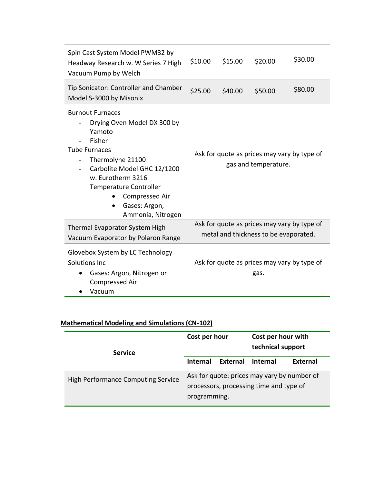| Spin Cast System Model PWM32 by<br>Headway Research w. W Series 7 High<br>Vacuum Pump by Welch                                                                                                                                                                                                               | \$10.00                                                                              | \$15.00 | \$20.00                                                             | \$30.00 |
|--------------------------------------------------------------------------------------------------------------------------------------------------------------------------------------------------------------------------------------------------------------------------------------------------------------|--------------------------------------------------------------------------------------|---------|---------------------------------------------------------------------|---------|
| Tip Sonicator: Controller and Chamber<br>Model S-3000 by Misonix                                                                                                                                                                                                                                             | \$25.00                                                                              | \$40.00 | \$50.00                                                             | \$80.00 |
| <b>Burnout Furnaces</b><br>Drying Oven Model DX 300 by<br>Yamoto<br>Fisher<br><b>Tube Furnaces</b><br>Thermolyne 21100<br>$\overline{\phantom{a}}$<br>Carbolite Model GHC 12/1200<br>w. Eurotherm 3216<br><b>Temperature Controller</b><br>Compressed Air<br>Gases: Argon,<br>$\bullet$<br>Ammonia, Nitrogen |                                                                                      |         | Ask for quote as prices may vary by type of<br>gas and temperature. |         |
| Thermal Evaporator System High<br>Vacuum Evaporator by Polaron Range                                                                                                                                                                                                                                         | Ask for quote as prices may vary by type of<br>metal and thickness to be evaporated. |         |                                                                     |         |
| Glovebox System by LC Technology<br>Solutions Inc<br>Gases: Argon, Nitrogen or<br><b>Compressed Air</b><br>Vacuum                                                                                                                                                                                            |                                                                                      |         | Ask for quote as prices may vary by type of<br>gas.                 |         |

# **Mathematical Modeling and Simulations (CN-102)**

| <b>Service</b>                            | Cost per hour                                                                                          |          | Cost per hour with<br>technical support |          |
|-------------------------------------------|--------------------------------------------------------------------------------------------------------|----------|-----------------------------------------|----------|
|                                           | <b>Internal</b>                                                                                        | External | <b>Internal</b>                         | External |
| <b>High Performance Computing Service</b> | Ask for quote: prices may vary by number of<br>processors, processing time and type of<br>programming. |          |                                         |          |